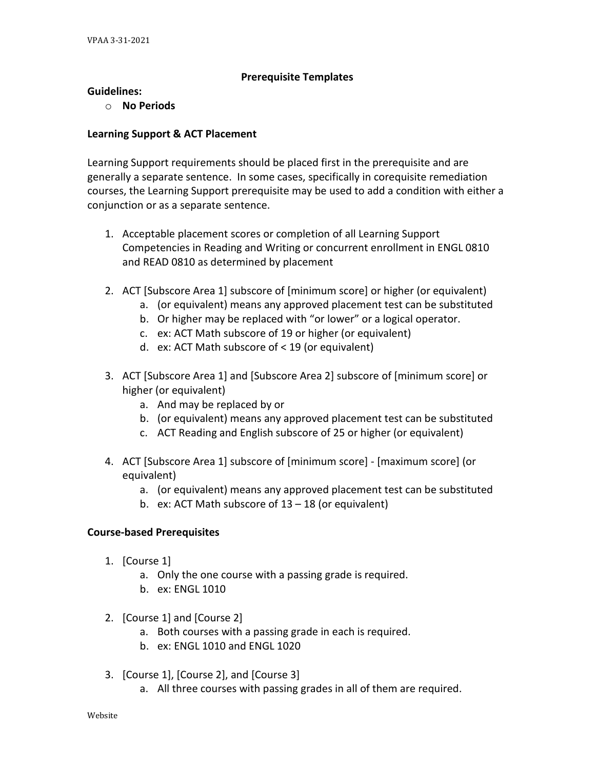## **Prerequisite Templates**

## **Guidelines:**

o **No Periods**

## **Learning Support & ACT Placement**

Learning Support requirements should be placed first in the prerequisite and are generally a separate sentence. In some cases, specifically in corequisite remediation courses, the Learning Support prerequisite may be used to add a condition with either a conjunction or as a separate sentence.

- 1. Acceptable placement scores or completion of all Learning Support Competencies in Reading and Writing or concurrent enrollment in ENGL 0810 and READ 0810 as determined by placement
- 2. ACT [Subscore Area 1] subscore of [minimum score] or higher (or equivalent)
	- a. (or equivalent) means any approved placement test can be substituted
	- b. Or higher may be replaced with "or lower" or a logical operator.
	- c. ex: ACT Math subscore of 19 or higher (or equivalent)
	- d. ex: ACT Math subscore of < 19 (or equivalent)
- 3. ACT [Subscore Area 1] and [Subscore Area 2] subscore of [minimum score] or higher (or equivalent)
	- a. And may be replaced by or
	- b. (or equivalent) means any approved placement test can be substituted
	- c. ACT Reading and English subscore of 25 or higher (or equivalent)
- 4. ACT [Subscore Area 1] subscore of [minimum score] [maximum score] (or equivalent)
	- a. (or equivalent) means any approved placement test can be substituted
	- b. ex: ACT Math subscore of 13 18 (or equivalent)

#### **Course-based Prerequisites**

- 1. [Course 1]
	- a. Only the one course with a passing grade is required.
	- b. ex: ENGL 1010
- 2. [Course 1] and [Course 2]
	- a. Both courses with a passing grade in each is required.
	- b. ex: ENGL 1010 and ENGL 1020
- 3. [Course 1], [Course 2], and [Course 3]
	- a. All three courses with passing grades in all of them are required.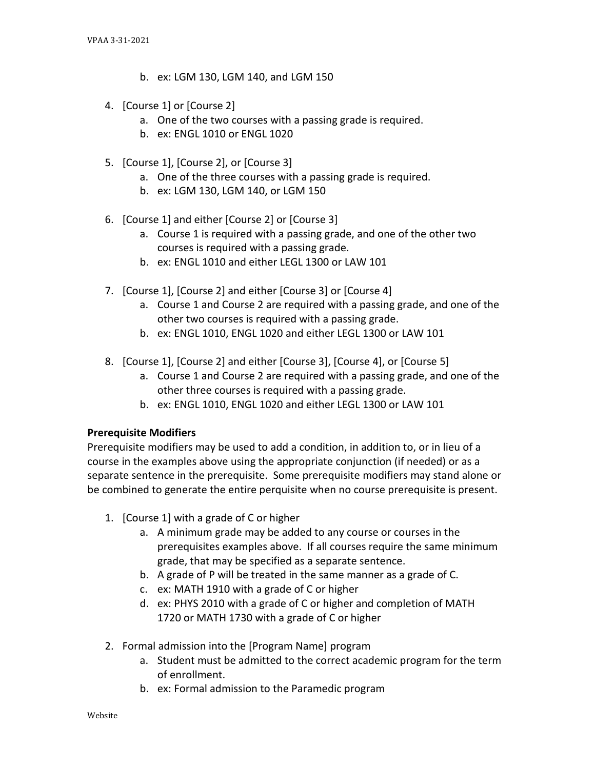- b. ex: LGM 130, LGM 140, and LGM 150
- 4. [Course 1] or [Course 2]
	- a. One of the two courses with a passing grade is required.
	- b. ex: ENGL 1010 or ENGL 1020
- 5. [Course 1], [Course 2], or [Course 3]
	- a. One of the three courses with a passing grade is required.
	- b. ex: LGM 130, LGM 140, or LGM 150
- 6. [Course 1] and either [Course 2] or [Course 3]
	- a. Course 1 is required with a passing grade, and one of the other two courses is required with a passing grade.
	- b. ex: ENGL 1010 and either LEGL 1300 or LAW 101
- 7. [Course 1], [Course 2] and either [Course 3] or [Course 4]
	- a. Course 1 and Course 2 are required with a passing grade, and one of the other two courses is required with a passing grade.
	- b. ex: ENGL 1010, ENGL 1020 and either LEGL 1300 or LAW 101
- 8. [Course 1], [Course 2] and either [Course 3], [Course 4], or [Course 5]
	- a. Course 1 and Course 2 are required with a passing grade, and one of the other three courses is required with a passing grade.
	- b. ex: ENGL 1010, ENGL 1020 and either LEGL 1300 or LAW 101

# **Prerequisite Modifiers**

Prerequisite modifiers may be used to add a condition, in addition to, or in lieu of a course in the examples above using the appropriate conjunction (if needed) or as a separate sentence in the prerequisite. Some prerequisite modifiers may stand alone or be combined to generate the entire perquisite when no course prerequisite is present.

- 1. [Course 1] with a grade of C or higher
	- a. A minimum grade may be added to any course or courses in the prerequisites examples above. If all courses require the same minimum grade, that may be specified as a separate sentence.
	- b. A grade of P will be treated in the same manner as a grade of C.
	- c. ex: MATH 1910 with a grade of C or higher
	- d. ex: PHYS 2010 with a grade of C or higher and completion of MATH 1720 or MATH 1730 with a grade of C or higher
- 2. Formal admission into the [Program Name] program
	- a. Student must be admitted to the correct academic program for the term of enrollment.
	- b. ex: Formal admission to the Paramedic program